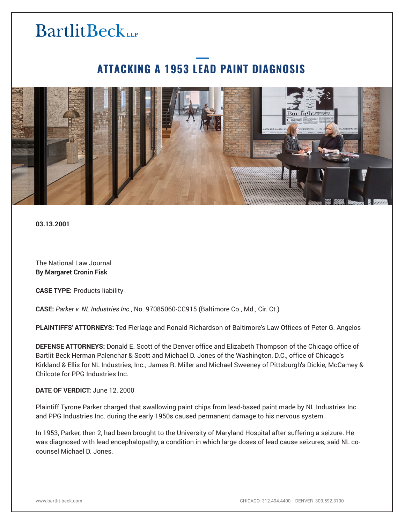# **BartlitBeck**LLP

### **ATTACKING A 1953 LEAD PAINT DIAGNOSIS**



**03.13.2001**

The National Law Journal **By Margaret Cronin Fisk**

**CASE TYPE:** Products liability

**CASE:** *Parker v. NL Industries Inc.*, No. 97085060-CC915 (Baltimore Co., Md., Cir. Ct.)

**PLAINTIFFS' ATTORNEYS:** Ted Flerlage and Ronald Richardson of Baltimore's Law Offices of Peter G. Angelos

**DEFENSE ATTORNEYS:** Donald E. Scott of the Denver office and Elizabeth Thompson of the Chicago office of Bartlit Beck Herman Palenchar & Scott and Michael D. Jones of the Washington, D.C., office of Chicago's Kirkland & Ellis for NL Industries, Inc.; James R. Miller and Michael Sweeney of Pittsburgh's Dickie, McCamey & Chilcote for PPG Industries Inc.

#### **DATE OF VERDICT:** June 12, 2000

Plaintiff Tyrone Parker charged that swallowing paint chips from lead-based paint made by NL Industries Inc. and PPG Industries Inc. during the early 1950s caused permanent damage to his nervous system.

In 1953, Parker, then 2, had been brought to the University of Maryland Hospital after suffering a seizure. He was diagnosed with lead encephalopathy, a condition in which large doses of lead cause seizures, said NL cocounsel Michael D. Jones.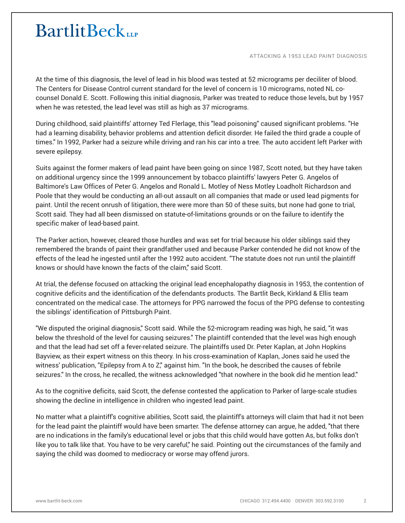## **BartlitBeck**

ATTACKING A 1953 LEAD PAINT DIAGNOSIS

At the time of this diagnosis, the level of lead in his blood was tested at 52 micrograms per deciliter of blood. The Centers for Disease Control current standard for the level of concern is 10 micrograms, noted NL cocounsel Donald E. Scott. Following this initial diagnosis, Parker was treated to reduce those levels, but by 1957 when he was retested, the lead level was still as high as 37 micrograms.

During childhood, said plaintiffs' attorney Ted Flerlage, this "lead poisoning" caused significant problems. "He had a learning disability, behavior problems and attention deficit disorder. He failed the third grade a couple of times." In 1992, Parker had a seizure while driving and ran his car into a tree. The auto accident left Parker with severe epilepsy.

Suits against the former makers of lead paint have been going on since 1987, Scott noted, but they have taken on additional urgency since the 1999 announcement by tobacco plaintiffs' lawyers Peter G. Angelos of Baltimore's Law Offices of Peter G. Angelos and Ronald L. Motley of Ness Motley Loadholt Richardson and Poole that they would be conducting an all-out assault on all companies that made or used lead pigments for paint. Until the recent onrush of litigation, there were more than 50 of these suits, but none had gone to trial, Scott said. They had all been dismissed on statute-of-limitations grounds or on the failure to identify the specific maker of lead-based paint.

The Parker action, however, cleared those hurdles and was set for trial because his older siblings said they remembered the brands of paint their grandfather used and because Parker contended he did not know of the effects of the lead he ingested until after the 1992 auto accident. "The statute does not run until the plaintiff knows or should have known the facts of the claim," said Scott.

At trial, the defense focused on attacking the original lead encephalopathy diagnosis in 1953, the contention of cognitive deficits and the identification of the defendants products. The Bartlit Beck, Kirkland & Ellis team concentrated on the medical case. The attorneys for PPG narrowed the focus of the PPG defense to contesting the siblings' identification of Pittsburgh Paint.

"We disputed the original diagnosis," Scott said. While the 52-microgram reading was high, he said, "it was below the threshold of the level for causing seizures." The plaintiff contended that the level was high enough and that the lead had set off a fever-related seizure. The plaintiffs used Dr. Peter Kaplan, at John Hopkins Bayview, as their expert witness on this theory. In his cross-examination of Kaplan, Jones said he used the witness' publication, "Epilepsy from A to Z," against him. "In the book, he described the causes of febrile seizures." In the cross, he recalled, the witness acknowledged "that nowhere in the book did he mention lead."

As to the cognitive deficits, said Scott, the defense contested the application to Parker of large-scale studies showing the decline in intelligence in children who ingested lead paint.

No matter what a plaintiff's cognitive abilities, Scott said, the plaintiff's attorneys will claim that had it not been for the lead paint the plaintiff would have been smarter. The defense attorney can argue, he added, "that there are no indications in the family's educational level or jobs that this child would have gotten As, but folks don't like you to talk like that. You have to be very careful," he said. Pointing out the circumstances of the family and saying the child was doomed to mediocracy or worse may offend jurors.